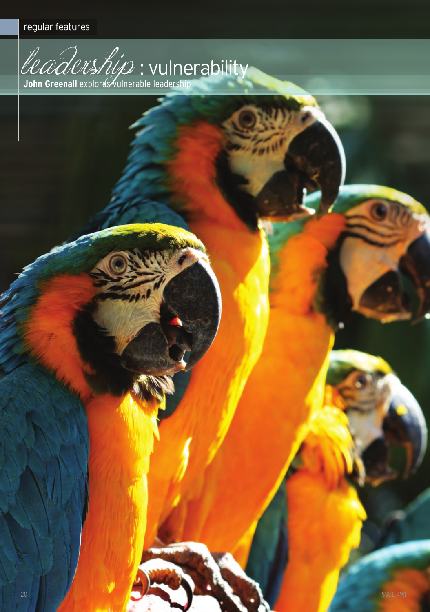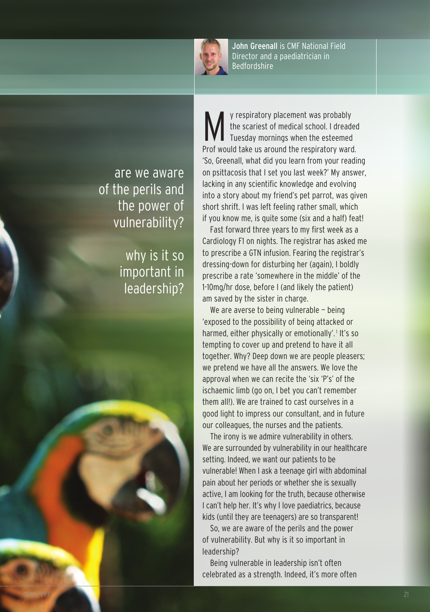

John Greenall is cMF national Field Director and a paediatrician in **Bedfordshire** 

are we aware of the perils and the power of vulnerability?

> why is it so important in leadership?

v respiratory placement was probably the scariest of medical school. I dreaded Tuesday mornings when the esteemed Prof would take us around the respiratory ward. 'So, greenall, what did you learn from your reading on psittacosis that I set you last week?' My answer, lacking in any scientific knowledge and evolving into a story about my friend's pet parrot, was given short shrift. I was left feeling rather small, which if you know me, is quite some (six and a half) feat!

Fast forward three years to my first week as a Cardiology F1 on nights. The registrar has asked me to prescribe a GTN infusion. Fearing the registrar's dressing-down for disturbing her (again), I boldly prescribe a rate 'somewhere in the middle' of the 1-10mg/hr dose, before I (and likely the patient) am saved by the sister in charge.

We are averse to being vulnerable - being 'exposed to the possibility of being attacked or harmed, either physically or emotionally'.<sup>1</sup> It's so tempting to cover up and pretend to have it all together. Why? Deep down we are people pleasers; we pretend we have all the answers. We love the approval when we can recite the 'six 'P's' of the ischaemic limb (go on, I bet you can't remember them all!). We are trained to cast ourselves in a good light to impress our consultant, and in future our colleagues, the nurses and the patients.

The irony is we admire vulnerability in others. We are surrounded by vulnerability in our healthcare setting. Indeed, we want our patients to be vulnerable! When I ask a teenage girl with abdominal pain about her periods or whether she is sexually active, I am looking for the truth, because otherwise I can't help her. It's why I love paediatrics, because kids (until they are teenagers) are so transparent!

So, we are aware of the perils and the power of vulnerability. but why is it so important in leadership?

being vulnerable in leadership isn't often celebrated as a strength. Indeed, it's more often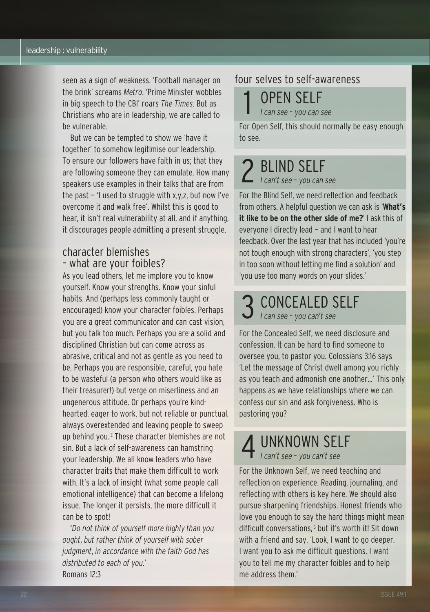seen as a sign of weakness. 'Football manager on the brink' screams *Metro*. 'Prime Minister wobbles in big speech to the cbI' roars *The Times*. but as christians who are in leadership, we are called to be vulnerable.

but we can be tempted to show we 'have it together' to somehow legitimise our leadership. To ensure our followers have faith in us; that they are following someone they can emulate. How many speakers use examples in their talks that are from the past  $-1$  used to struggle with x,y,z, but now I've overcome it and walk free'. Whilst this is good to hear, it isn't real vulnerability at all, and if anything, it discourages people admitting a present struggle.

### character blemishes – what are your foibles?

As you lead others, let me implore you to know yourself. Know your strengths. Know your sinful habits. And (perhaps less commonly taught or encouraged) know your character foibles. Perhaps you are a great communicator and can cast vision, but you talk too much. Perhaps you are a solid and disciplined christian but can come across as abrasive, critical and not as gentle as you need to be. Perhaps you are responsible, careful, you hate to be wasteful (a person who others would like as their treasurer!) but verge on miserliness and an ungenerous attitude. Or perhaps you're kindhearted, eager to work, but not reliable or punctual, always overextended and leaving people to sweep up behind you.<sup>2</sup> These character blemishes are not sin. but a lack of self-awareness can hamstring your leadership. We all know leaders who have character traits that make them difficult to work with. It's a lack of insight (what some people call emotional intelligence) that can become a lifelong issue. The longer it persists, the more difficult it can be to spot!

'*Do not think of yourself more highly than you ought, but rather think of yourself with sober judgment, in accordance with the faith God has distributed to each of you*.' Romans 12:3

## four selves to self-awareness

**OPEN SELF** *I can see – you can see*

For Open Self, this should normally be easy enough to see.

2 blInd SElF *I can't see – you can see*

For the blind Self, we need reflection and feedback from others. A helpful question we can ask is '**What's it like to be on the other side of me?**' I ask this of everyone I directly lead — and I want to hear feedback. Over the last year that has included 'you're not tough enough with strong characters', 'you step in too soon without letting me find a solution' and 'you use too many words on your slides.'

3 cOncEAlEd SElF *I can see – you can't see*

For the concealed Self, we need disclosure and confession. It can be hard to find someone to oversee you, to pastor you. colossians 3:16 says 'let the message of christ dwell among you richly as you teach and admonish one another...' This only happens as we have relationships where we can confess our sin and ask forgiveness. Who is pastoring you?

# 4 UnKnOWn SElF *I can't see – you can't see*

For the Unknown Self, we need teaching and reflection on experience. Reading, journaling, and reflecting with others is key here. We should also pursue sharpening friendships. Honest friends who love you enough to say the hard things might mean difficult conversations, <sup>3</sup> but it's worth it! Sit down with a friend and say, 'Look, I want to go deeper. I want you to ask me difficult questions. I want you to tell me my character foibles and to help me address them.'